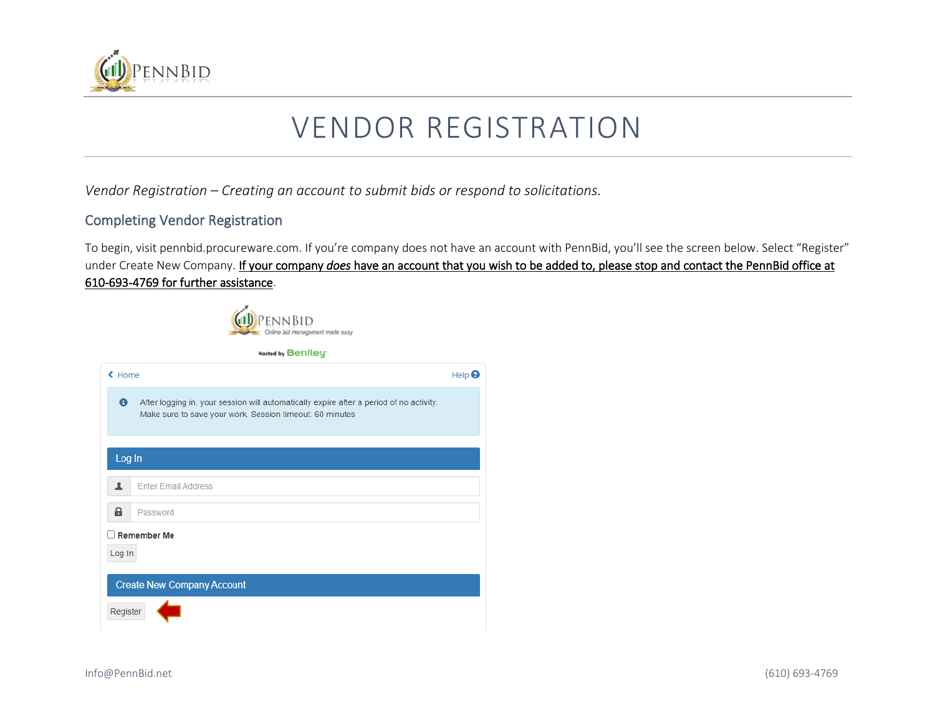

## VENDOR REGISTRATION

*Vendor Registration – Creating an account to submit bids or respond to solicitations.*

## Completing Vendor Registration

To begin, visit pennbid.procureware.com. If you're company does not have an account with PennBid, you'll see the screen below. Select "Register" under Create New Company. If your company *does* have an account that you wish to be added to, please stop and contact the PennBid office at 610-693-4769 for further assistance.

Help  $\Theta$ 





← Home

 $\bullet$ 

Log In

A.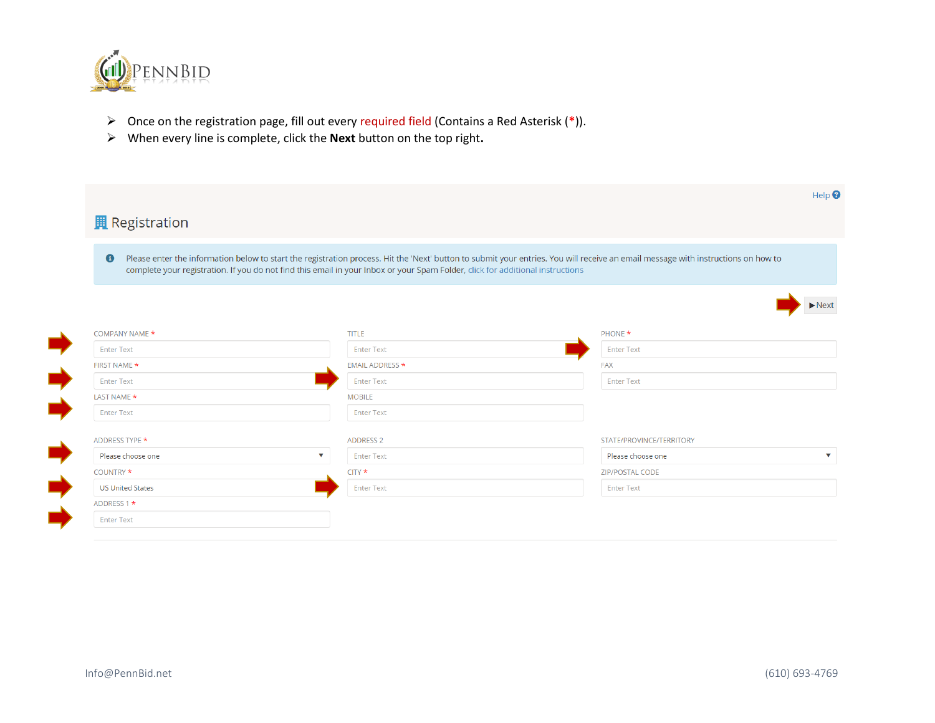

- ➢ Once on the registration page, fill out every required field (Contains a Red Asterisk (**\***)).
- ➢ When every line is complete, click the **Next** button on the top right**.**

| <b>Registration</b>     |                                                                                                                                |                                                                                                                                                                                   |
|-------------------------|--------------------------------------------------------------------------------------------------------------------------------|-----------------------------------------------------------------------------------------------------------------------------------------------------------------------------------|
| $\bullet$               | complete your registration. If you do not find this email in your Inbox or your Spam Folder, click for additional instructions | Please enter the information below to start the registration process. Hit the 'Next' button to submit your entries. You will receive an email message with instructions on how to |
|                         |                                                                                                                                |                                                                                                                                                                                   |
| COMPANY NAME *          | <b>TITLE</b>                                                                                                                   | PHONE *                                                                                                                                                                           |
| <b>Enter Text</b>       | <b>Enter Text</b>                                                                                                              | <b>Enter Text</b>                                                                                                                                                                 |
| FIRST NAME *            | <b>EMAIL ADDRESS *</b>                                                                                                         | <b>FAX</b>                                                                                                                                                                        |
| <b>Enter Text</b>       | <b>Enter Text</b>                                                                                                              | <b>Enter Text</b>                                                                                                                                                                 |
| LAST NAME *             | <b>MOBILE</b>                                                                                                                  |                                                                                                                                                                                   |
| <b>Enter Text</b>       | <b>Enter Text</b>                                                                                                              |                                                                                                                                                                                   |
| ADDRESS TYPE *          | <b>ADDRESS 2</b>                                                                                                               | STATE/PROVINCE/TERRITORY                                                                                                                                                          |
| Please choose one       | v<br><b>Enter Text</b>                                                                                                         | Please choose one                                                                                                                                                                 |
| COUNTRY *               | $CITY$ *                                                                                                                       | <b>ZIP/POSTAL CODE</b>                                                                                                                                                            |
| <b>US United States</b> | <b>Enter Text</b>                                                                                                              | <b>Enter Text</b>                                                                                                                                                                 |
| ADDRESS 1 *             |                                                                                                                                |                                                                                                                                                                                   |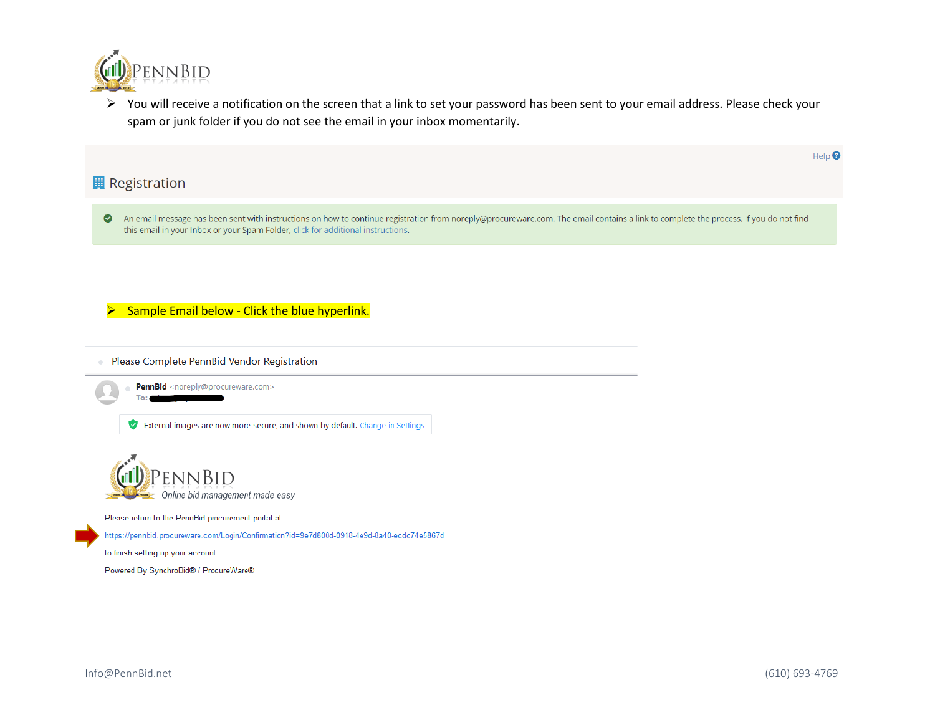

➢ You will receive a notification on the screen that a link to set your password has been sent to your email address. Please check your spam or junk folder if you do not see the email in your inbox momentarily.

## **用** Registration

An email message has been sent with instructions on how to continue registration from noreply@procureware.com. The email contains a link to complete the process. If you do not find this email in your Inbox or your Spam Folder, click for additional instructions.

Sample Email below - Click the blue hyperlink.

· Please Complete PennBid Vendor Registration

PennBid <noreply@procureware.com> Tά

External images are now more secure, and shown by default. Change in Settings



Please return to the PennBid procurement portal at:

https://pennbid.procureware.com/Login/Confirmation?id=9e7d800d-0918-4e9d-8a40-ecdc74e5867d

to finish setting up your account.

Powered By SynchroBid® / ProcureWare®

 $\text{Help} \bigcirc$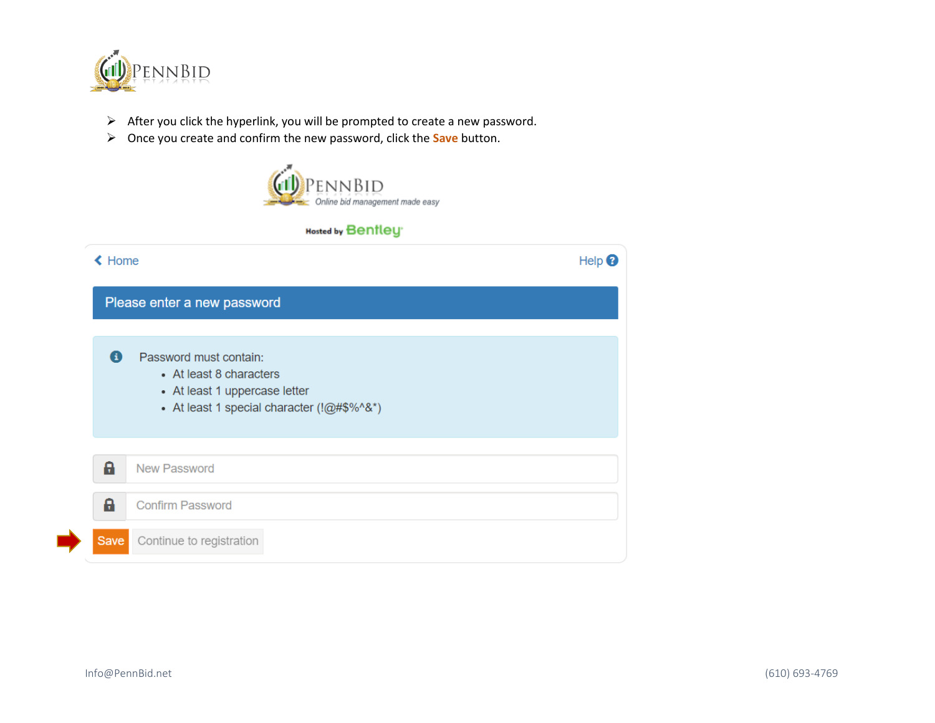

- ➢ After you click the hyperlink, you will be prompted to create a new password.
- ➢ Once you create and confirm the new password, click the **Save** button.



## **Hosted by Bentley**

| <b>≮</b> Home |                                                                                                                                     | Help $\boldsymbol{e}$ |
|---------------|-------------------------------------------------------------------------------------------------------------------------------------|-----------------------|
|               | Please enter a new password                                                                                                         |                       |
| A             | Password must contain:<br>• At least 8 characters<br>• At least 1 uppercase letter<br>• At least 1 special character $(!@#\$%^0@")$ |                       |
| a             | <b>New Password</b>                                                                                                                 |                       |
| a             | <b>Confirm Password</b>                                                                                                             |                       |
| Save          | Continue to registration                                                                                                            |                       |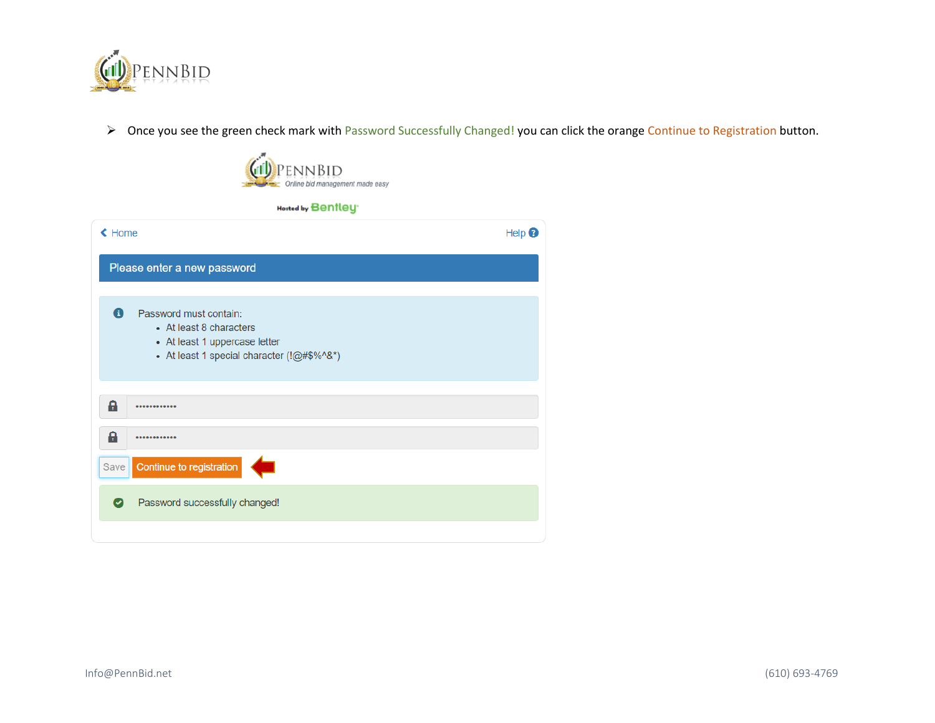

➢ Once you see the green check mark with Password Successfully Changed! you can click the orange Continue to Registration button.

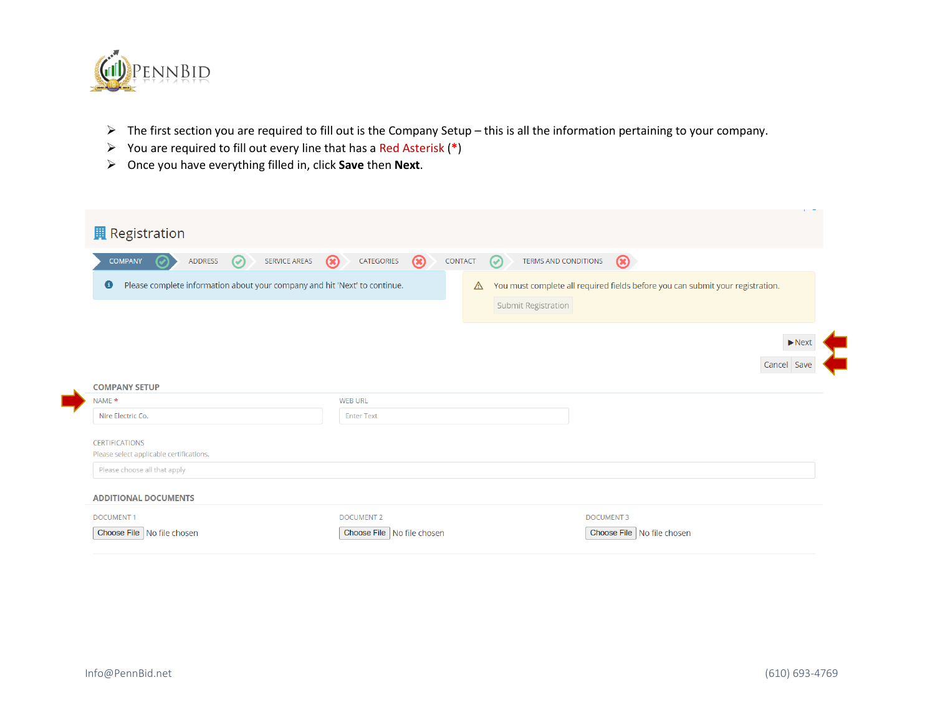

- ➢ The first section you are required to fill out is the Company Setup this is all the information pertaining to your company.
- ➢ You are required to fill out every line that has a Red Asterisk (**\***)
- ➢ Once you have everything filled in, click **Save** then **Next**.

| <b>Registration</b>                                                                     |                                            | $\mathbf{r}$                                                                                               |
|-----------------------------------------------------------------------------------------|--------------------------------------------|------------------------------------------------------------------------------------------------------------|
| SERVICE AREAS<br><b>COMPANY</b><br><b>ADDRESS</b><br>$\odot$                            | $\circledast$<br>$\circledR$<br>CATEGORIES | $\circledast$<br>TERMS AND CONDITIONS<br>CONTACT<br>$\left(\checkmark\right)$                              |
| Please complete information about your company and hit 'Next' to continue.<br>$\bullet$ |                                            | You must complete all required fields before you can submit your registration.<br>⚠<br>Submit Registration |
| <b>COMPANY SETUP</b>                                                                    |                                            | $\blacktriangleright$ Next<br>Cancel Save                                                                  |
| NAME *                                                                                  | <b>WEB URL</b>                             |                                                                                                            |
| Nire Electric Co.                                                                       | <b>Enter Text</b>                          |                                                                                                            |
| <b>CERTIFICATIONS</b><br>Please select applicable certifications.                       |                                            |                                                                                                            |
| Please choose all that apply                                                            |                                            |                                                                                                            |
| <b>ADDITIONAL DOCUMENTS</b>                                                             |                                            |                                                                                                            |
| <b>DOCUMENT1</b>                                                                        | <b>DOCUMENT 2</b>                          | <b>DOCUMENT 3</b>                                                                                          |
| Choose File   No file chosen                                                            | Choose File   No file chosen               | Choose File   No file chosen                                                                               |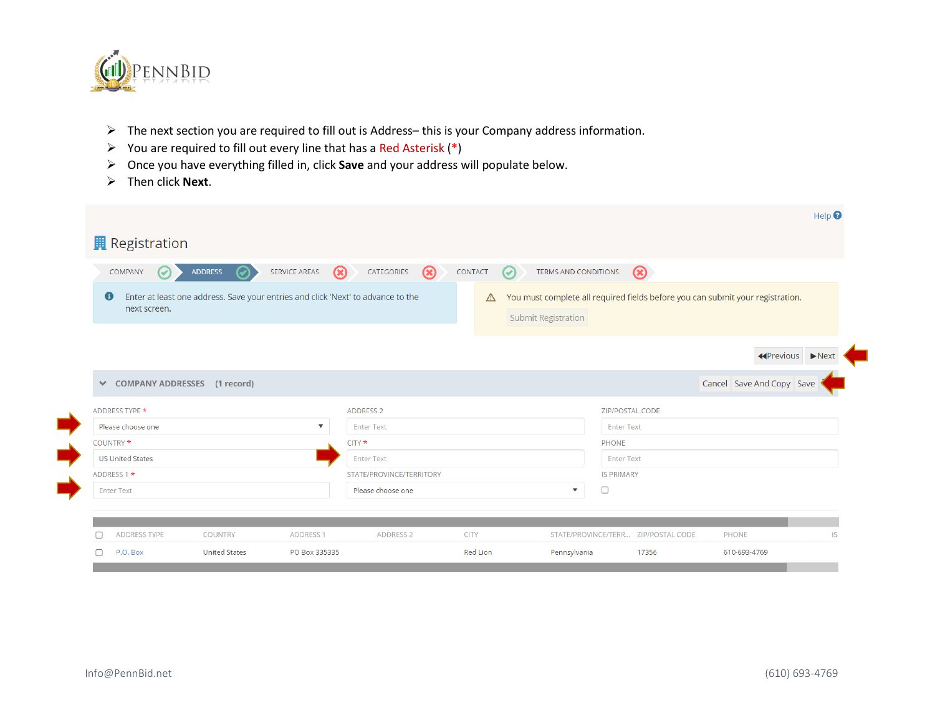

- ➢ The next section you are required to fill out is Address– this is your Company address information.
- ➢ You are required to fill out every line that has a Red Asterisk (**\***)
- ➢ Once you have everything filled in, click **Save** and your address will populate below.
- ➢ Then click **Next**.

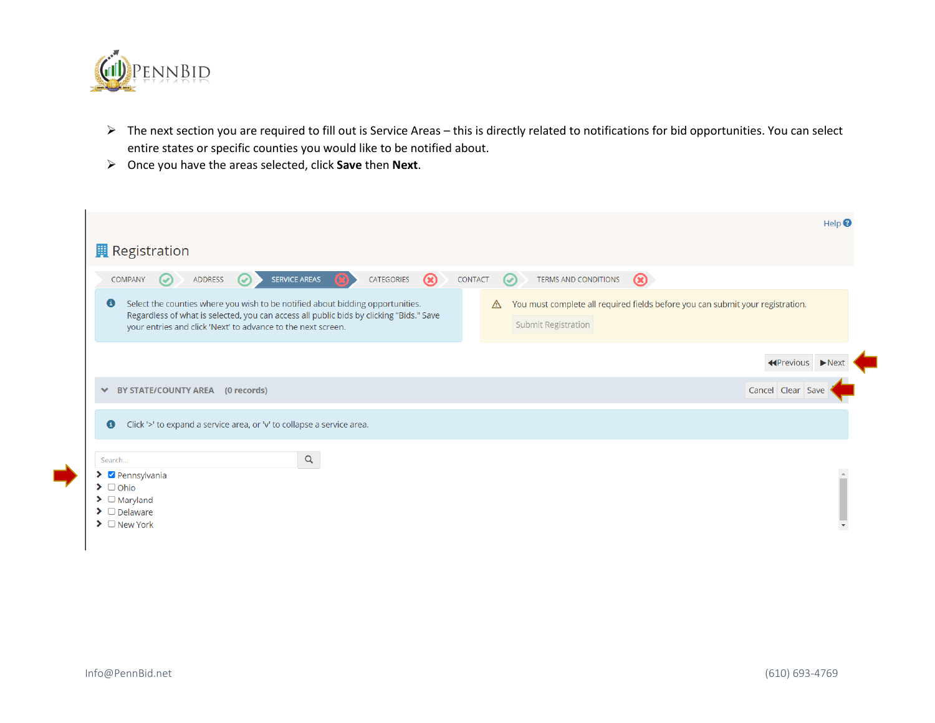

- ➢ The next section you are required to fill out is Service Areas this is directly related to notifications for bid opportunities. You can select entire states or specific counties you would like to be notified about.
- ➢ Once you have the areas selected, click **Save** then **Next**.

|                                                                                                                                                                                                                                                        | Help $\blacksquare$                                                                                                   |
|--------------------------------------------------------------------------------------------------------------------------------------------------------------------------------------------------------------------------------------------------------|-----------------------------------------------------------------------------------------------------------------------|
| <b>R</b> Registration                                                                                                                                                                                                                                  |                                                                                                                       |
| <b>SERVICE AREAS</b><br>$\circledR$<br>CATEGORIES<br>COMPANY<br>ADDRESS<br>$\mathcal O$<br>Ø                                                                                                                                                           | TERMS AND CONDITIONS<br>$\circledast$<br><b>CONTACT</b><br>$\odot$                                                    |
| Select the counties where you wish to be notified about bidding opportunities.<br>$\bullet$<br>Regardless of what is selected, you can access all public bids by clicking "Bids." Save<br>your entries and click 'Next' to advance to the next screen. | You must complete all required fields before you can submit your registration.<br>$\mathbb{A}$<br>Submit Registration |
|                                                                                                                                                                                                                                                        | ←Previous ▶Nex                                                                                                        |
| ◆ BY STATE/COUNTY AREA (0 records)                                                                                                                                                                                                                     | Cancel Clear Save                                                                                                     |
| Click '>' to expand a service area, or 'v' to collapse a service area.<br>$\bullet$                                                                                                                                                                    |                                                                                                                       |
| Q<br>Search                                                                                                                                                                                                                                            |                                                                                                                       |
| $\blacktriangleright$ $\blacktriangleright$ Pennsylvania<br>$\blacktriangleright$ $\Box$ Ohio<br>$\blacktriangleright$ $\Box$ Maryland<br>$\blacktriangleright$ $\Box$ Delaware<br>$\triangleright$ $\Box$ New York                                    |                                                                                                                       |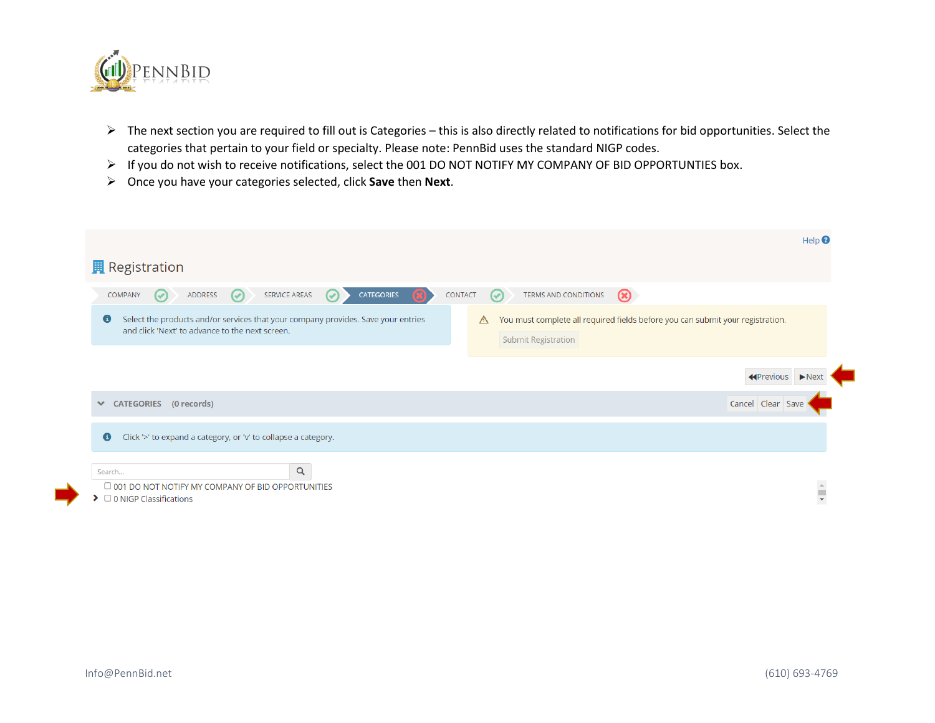

- $\triangleright$  The next section you are required to fill out is Categories this is also directly related to notifications for bid opportunities. Select the categories that pertain to your field or specialty. Please note: PennBid uses the standard NIGP codes.
- ➢ If you do not wish to receive notifications, select the 001 DO NOT NOTIFY MY COMPANY OF BID OPPORTUNTIES box.
- ➢ Once you have your categories selected, click **Save** then **Next**.

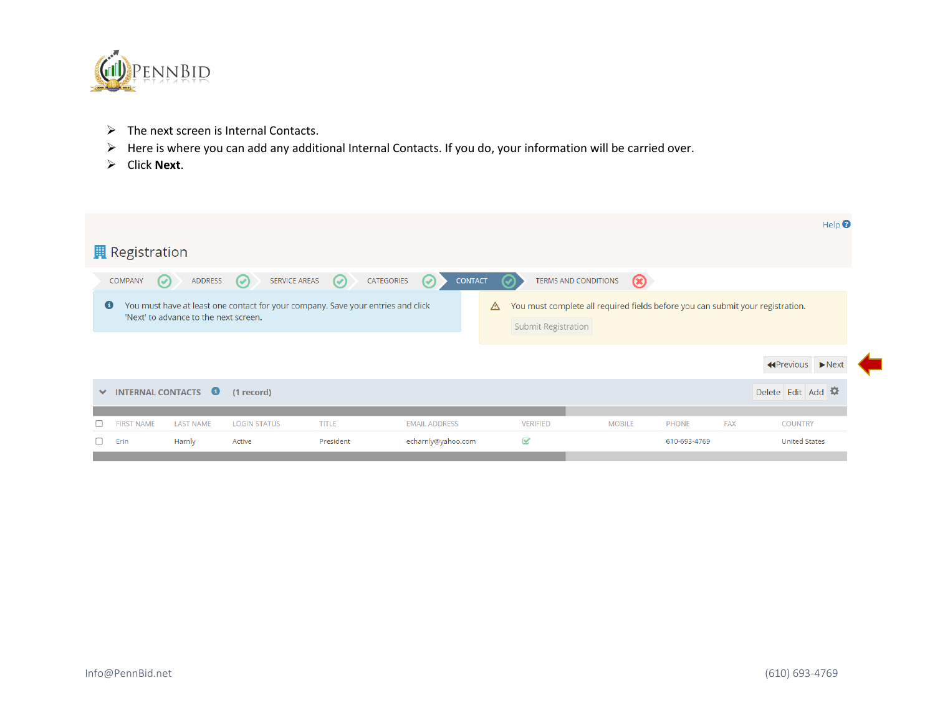

- ➢ The next screen is Internal Contacts.
- ➢ Here is where you can add any additional Internal Contacts. If you do, your information will be carried over.
- ➢ Click **Next**.

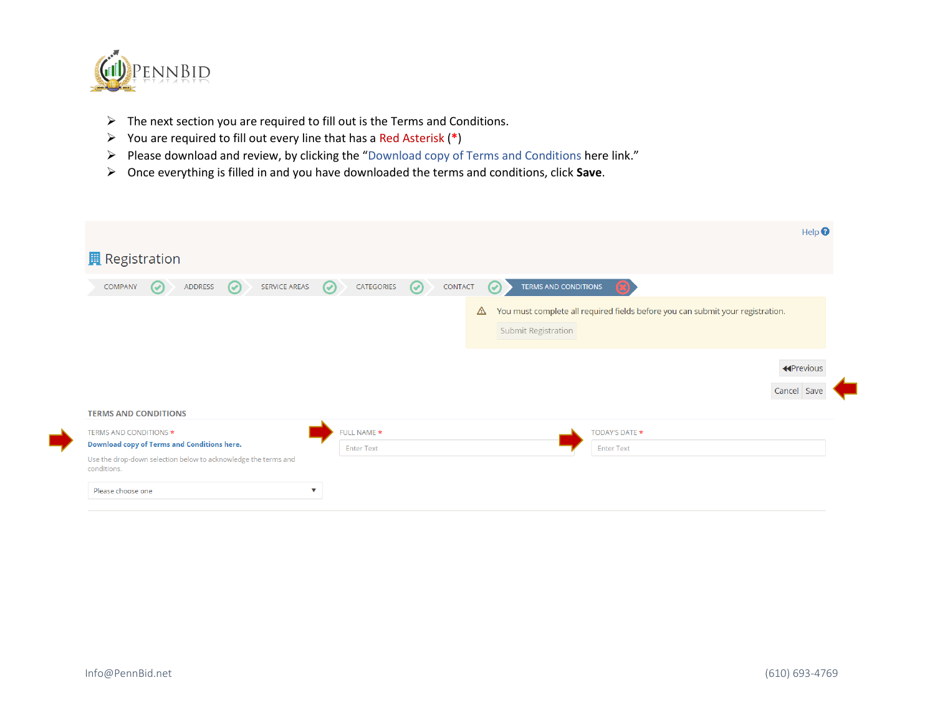

- $\triangleright$  The next section you are required to fill out is the Terms and Conditions.
- ➢ You are required to fill out every line that has a Red Asterisk (**\***)
- ➢ Please download and review, by clicking the "Download copy of Terms and Conditions here link."
- ➢ Once everything is filled in and you have downloaded the terms and conditions, click **Save**.

|                                                                               |                                  |                                                                                                            | Help $\boldsymbol{Q}$            |
|-------------------------------------------------------------------------------|----------------------------------|------------------------------------------------------------------------------------------------------------|----------------------------------|
| <b>Registration</b>                                                           |                                  |                                                                                                            |                                  |
| SERVICE AREAS<br>COMPANY<br>ADDRESS<br>$\left(\checkmark\right)$<br>$\bullet$ | CATEGORIES<br>$\odot$<br>$\odot$ | <b>TERMS AND CONDITIONS</b><br>CONTACT<br>$\omega$                                                         |                                  |
|                                                                               |                                  | You must complete all required fields before you can submit your registration.<br>⚠<br>Submit Registration |                                  |
|                                                                               |                                  |                                                                                                            | <b>K</b> Previous<br>Cancel Save |
| <b>TERMS AND CONDITIONS</b>                                                   |                                  |                                                                                                            |                                  |
| <b>TERMS AND CONDITIONS *</b>                                                 | FULL NAME *                      | <b>TODAY'S DATE *</b>                                                                                      |                                  |
| <b>Download copy of Terms and Conditions here.</b>                            | <b>Enter Text</b>                | <b>Enter Text</b>                                                                                          |                                  |
| Use the drop-down selection below to acknowledge the terms and<br>conditions. |                                  |                                                                                                            |                                  |
|                                                                               |                                  |                                                                                                            |                                  |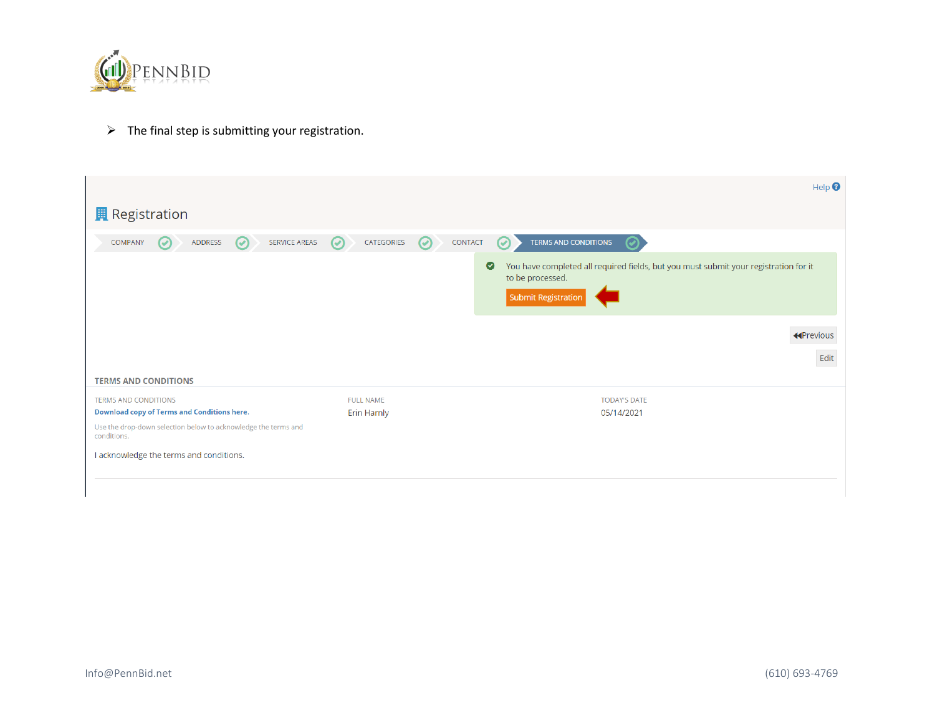

 $\triangleright$  The final step is submitting your registration.

|                                                                                   |                                 |                    | $\text{Help}$ <sup><math>\odot</math></sup>                                                                                                  |
|-----------------------------------------------------------------------------------|---------------------------------|--------------------|----------------------------------------------------------------------------------------------------------------------------------------------|
| <b>R</b> Registration                                                             |                                 |                    |                                                                                                                                              |
| SERVICE AREAS<br>COMPANY<br>ADDRESS<br>$\odot$<br>$\bm{\omega}$                   | CATEGORIES<br>$\odot$           | CONTACT<br>$\odot$ | <b>TERMS AND CONDITIONS</b><br>$\left( \mathcal{A}\right)$                                                                                   |
|                                                                                   |                                 |                    | $\bullet$<br>You have completed all required fields, but you must submit your registration for it<br>to be processed.<br>Submit Registration |
|                                                                                   |                                 |                    | <b>K</b> Previous<br>Edit                                                                                                                    |
| <b>TERMS AND CONDITIONS</b>                                                       |                                 |                    |                                                                                                                                              |
| <b>TERMS AND CONDITIONS</b><br><b>Download copy of Terms and Conditions here.</b> | <b>FULL NAME</b><br>Erin Harnly |                    | <b>TODAY'S DATE</b><br>05/14/2021                                                                                                            |
| Use the drop-down selection below to acknowledge the terms and<br>conditions.     |                                 |                    |                                                                                                                                              |
| I acknowledge the terms and conditions.                                           |                                 |                    |                                                                                                                                              |
|                                                                                   |                                 |                    |                                                                                                                                              |